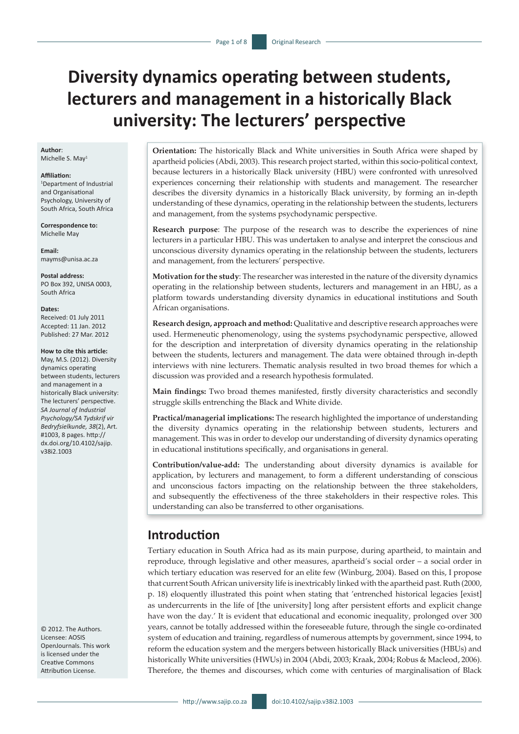# **Diversity dynamics operating between students, lecturers and management in a historically Black university: The lecturers' perspective**

#### **Author**: Michelle S. May<sup>1</sup>

#### **Affiliation:**

1 Department of Industrial and Organisational Psychology, University of South Africa, South Africa

**Correspondence to:** Michelle May

**Email:** mayms@unisa.ac.za

**Postal address:** PO Box 392, UNISA 0003, South Africa

#### **Dates:**

Received: 01 July 2011 Accepted: 11 Jan. 2012 Published: 27 Mar. 2012

#### **How to cite this article:**

May, M.S. (2012). Diversity dynamics operating between students, lecturers and management in a historically Black university: The lecturers' perspective. *SA Journal of Industrial Psychology/SA Tydskrif vir Bedryfsielkunde, 38*(2), Art. #1003, 8 pages. http:// dx.doi.org/10.4102/sajip. v38i2.1003

© 2012. The Authors. Licensee: AOSIS OpenJournals. This work is licensed under the Creative Commons Attribution License.

**Orientation:** The historically Black and White universities in South Africa were shaped by apartheid policies (Abdi, 2003). This research project started, within this socio-political context, because lecturers in a historically Black university (HBU) were confronted with unresolved experiences concerning their relationship with students and management. The researcher describes the diversity dynamics in a historically Black university, by forming an in-depth understanding of these dynamics, operating in the relationship between the students, lecturers and management, from the systems psychodynamic perspective.

**Research purpose**: The purpose of the research was to describe the experiences of nine lecturers in a particular HBU. This was undertaken to analyse and interpret the conscious and unconscious diversity dynamics operating in the relationship between the students, lecturers and management, from the lecturers' perspective.

**Motivation for the study**: The researcher was interested in the nature of the diversity dynamics operating in the relationship between students, lecturers and management in an HBU, as a platform towards understanding diversity dynamics in educational institutions and South African organisations.

**Research design, approach and method:** Qualitative and descriptive research approaches were used. Hermeneutic phenomenology, using the systems psychodynamic perspective, allowed for the description and interpretation of diversity dynamics operating in the relationship between the students, lecturers and management. The data were obtained through in-depth interviews with nine lecturers. Thematic analysis resulted in two broad themes for which a discussion was provided and a research hypothesis formulated.

**Main findings:** Two broad themes manifested, firstly diversity characteristics and secondly struggle skills entrenching the Black and White divide.

**Practical/managerial implications:** The research highlighted the importance of understanding the diversity dynamics operating in the relationship between students, lecturers and management. This was in order to develop our understanding of diversity dynamics operating in educational institutions specifically, and organisations in general.

**Contribution/value-add:** The understanding about diversity dynamics is available for application, by lecturers and management, to form a different understanding of conscious and unconscious factors impacting on the relationship between the three stakeholders, and subsequently the effectiveness of the three stakeholders in their respective roles. This understanding can also be transferred to other organisations.

# **Introduction**

Tertiary education in South Africa had as its main purpose, during apartheid, to maintain and reproduce, through legislative and other measures, apartheid's social order – a social order in which tertiary education was reserved for an elite few (Winburg, 2004). Based on this, I propose that current South African university life is inextricably linked with the apartheid past. Ruth (2000, p. 18) eloquently illustrated this point when stating that 'entrenched historical legacies [exist] as undercurrents in the life of [the university] long after persistent efforts and explicit change have won the day.' It is evident that educational and economic inequality, prolonged over 300 years, cannot be totally addressed within the foreseeable future, through the single co-ordinated system of education and training, regardless of numerous attempts by government, since 1994, to reform the education system and the mergers between historically Black universities (HBUs) and historically White universities (HWUs) in 2004 (Abdi, 2003; Kraak, 2004; Robus & Macleod, 2006). Therefore, the themes and discourses, which come with centuries of marginalisation of Black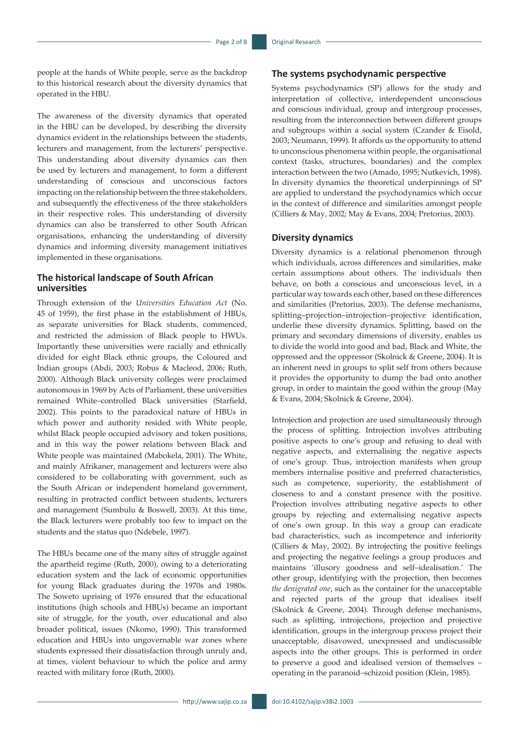people at the hands of White people, serve as the backdrop to this historical research about the diversity dynamics that operated in the HBU.

The awareness of the diversity dynamics that operated in the HBU can be developed, by describing the diversity dynamics evident in the relationships between the students, lecturers and management, from the lecturers' perspective. This understanding about diversity dynamics can then be used by lecturers and management, to form a different understanding of conscious and unconscious factors impacting on the relationship between the three stakeholders, and subsequently the effectiveness of the three stakeholders in their respective roles. This understanding of diversity dynamics can also be transferred to other South African organisations, enhancing the understanding of diversity dynamics and informing diversity management initiatives implemented in these organisations.

### **The historical landscape of South African universities**

Through extension of the *Universities Education Act* (No. 45 of 1959), the first phase in the establishment of HBUs, as separate universities for Black students, commenced, and restricted the admission of Black people to HWUs. Importantly these universities were racially and ethnically divided for eight Black ethnic groups, the Coloured and Indian groups (Abdi, 2003; Robus & Macleod, 2006; Ruth, 2000). Although Black university colleges were proclaimed autonomous in 1969 by Acts of Parliament, these universities remained White–controlled Black universities (Starfield, 2002). This points to the paradoxical nature of HBUs in which power and authority resided with White people, whilst Black people occupied advisory and token positions, and in this way the power relations between Black and White people was maintained (Mabokela, 2001). The White, and mainly Afrikaner, management and lecturers were also considered to be collaborating with government, such as the South African or independent homeland government, resulting in protracted conflict between students, lecturers and management (Sumbulu & Boswell, 2003). At this time, the Black lecturers were probably too few to impact on the students and the status quo (Ndebele, 1997).

The HBUs became one of the many sites of struggle against the apartheid regime (Ruth, 2000), owing to a deteriorating education system and the lack of economic opportunities for young Black graduates during the 1970s and 1980s. The Soweto uprising of 1976 ensured that the educational institutions (high schools and HBUs) became an important site of struggle, for the youth, over educational and also broader political, issues (Nkomo, 1990). This transformed education and HBUs into ungovernable war zones where students expressed their dissatisfaction through unruly and, at times, violent behaviour to which the police and army reacted with military force (Ruth, 2000).

### **The systems psychodynamic perspective**

Systems psychodynamics (SP) allows for the study and interpretation of collective, interdependent unconscious and conscious individual, group and intergroup processes, resulting from the interconnection between different groups and subgroups within a social system (Czander & Eisold, 2003; Neumann, 1999). It affords us the opportunity to attend to unconscious phenomena within people, the organisational context (tasks, structures, boundaries) and the complex interaction between the two (Amado, 1995; Nutkevich, 1998). In diversity dynamics the theoretical underpinnings of SP are applied to understand the psychodynamics which occur in the context of difference and similarities amongst people (Cilliers & May, 2002; May & Evans, 2004; Pretorius, 2003).

#### **Diversity dynamics**

Diversity dynamics is a relational phenomenon through which individuals, across differences and similarities, make certain assumptions about others. The individuals then behave, on both a conscious and unconscious level, in a particular way towards each other, based on these differences and similarities (Pretorius, 2003). The defense mechanisms, splitting–projection–introjection–projective identification, underlie these diversity dynamics. Splitting, based on the primary and secondary dimensions of diversity, enables us to divide the world into good and bad, Black and White, the oppressed and the oppressor (Skolnick & Greene, 2004). It is an inherent need in groups to split self from others because it provides the opportunity to dump the bad onto another group, in order to maintain the good within the group (May & Evans, 2004; Skolnick & Greene, 2004).

Introjection and projection are used simultaneously through the process of splitting. Introjection involves attributing positive aspects to one's group and refusing to deal with negative aspects, and externalising the negative aspects of one's group. Thus, introjection manifests when group members internalise positive and preferred characteristics, such as competence, superiority, the establishment of closeness to and a constant presence with the positive. Projection involves attributing negative aspects to other groups by rejecting and externalising negative aspects of one's own group. In this way a group can eradicate bad characteristics, such as incompetence and inferiority (Cilliers & May, 2002). By introjecting the positive feelings and projecting the negative feelings a group produces and maintains 'illusory goodness and self–idealisation.' The other group, identifying with the projection, then becomes *the denigrated one*, such as the container for the unacceptable and rejected parts of the group that idealises itself (Skolnick & Greene, 2004). Through defense mechanisms, such as splitting, introjections, projection and projective identification, groups in the intergroup process project their unacceptable, disavowed, unexpressed and undiscussible aspects into the other groups. This is performed in order to preserve a good and idealised version of themselves – operating in the paranoid–schizoid position (Klein, 1985).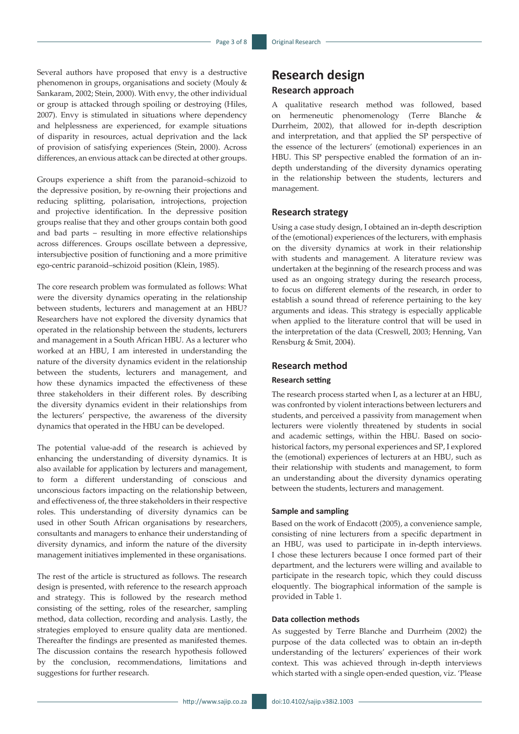Several authors have proposed that envy is a destructive phenomenon in groups, organisations and society (Mouly & Sankaram, 2002; Stein, 2000). With envy, the other individual or group is attacked through spoiling or destroying (Hiles, 2007). Envy is stimulated in situations where dependency and helplessness are experienced, for example situations of disparity in resources, actual deprivation and the lack of provision of satisfying experiences (Stein, 2000). Across differences, an envious attack can be directed at other groups.

Groups experience a shift from the paranoid–schizoid to the depressive position, by re-owning their projections and reducing splitting, polarisation, introjections, projection and projective identification. In the depressive position groups realise that they and other groups contain both good and bad parts – resulting in more effective relationships across differences. Groups oscillate between a depressive, intersubjective position of functioning and a more primitive ego-centric paranoid–schizoid position (Klein, 1985).

The core research problem was formulated as follows: What were the diversity dynamics operating in the relationship between students, lecturers and management at an HBU? Researchers have not explored the diversity dynamics that operated in the relationship between the students, lecturers and management in a South African HBU. As a lecturer who worked at an HBU, I am interested in understanding the nature of the diversity dynamics evident in the relationship between the students, lecturers and management, and how these dynamics impacted the effectiveness of these three stakeholders in their different roles. By describing the diversity dynamics evident in their relationships from the lecturers' perspective, the awareness of the diversity dynamics that operated in the HBU can be developed.

The potential value-add of the research is achieved by enhancing the understanding of diversity dynamics. It is also available for application by lecturers and management, to form a different understanding of conscious and unconscious factors impacting on the relationship between, and effectiveness of, the three stakeholders in their respective roles. This understanding of diversity dynamics can be used in other South African organisations by researchers, consultants and managers to enhance their understanding of diversity dynamics, and inform the nature of the diversity management initiatives implemented in these organisations.

The rest of the article is structured as follows. The research design is presented, with reference to the research approach and strategy. This is followed by the research method consisting of the setting, roles of the researcher, sampling method, data collection, recording and analysis. Lastly, the strategies employed to ensure quality data are mentioned. Thereafter the findings are presented as manifested themes. The discussion contains the research hypothesis followed by the conclusion, recommendations, limitations and suggestions for further research.

# **Research design Research approach**

A qualitative research method was followed, based on hermeneutic phenomenology (Terre Blanche & Durrheim, 2002), that allowed for in-depth description and interpretation, and that applied the SP perspective of the essence of the lecturers' (emotional) experiences in an HBU. This SP perspective enabled the formation of an indepth understanding of the diversity dynamics operating in the relationship between the students, lecturers and management.

### **Research strategy**

Using a case study design, I obtained an in-depth description of the (emotional) experiences of the lecturers, with emphasis on the diversity dynamics at work in their relationship with students and management. A literature review was undertaken at the beginning of the research process and was used as an ongoing strategy during the research process, to focus on different elements of the research, in order to establish a sound thread of reference pertaining to the key arguments and ideas. This strategy is especially applicable when applied to the literature control that will be used in the interpretation of the data (Creswell, 2003; Henning, Van Rensburg & Smit, 2004).

#### **Research method**

#### **Research setting**

The research process started when I, as a lecturer at an HBU, was confronted by violent interactions between lecturers and students, and perceived a passivity from management when lecturers were violently threatened by students in social and academic settings, within the HBU. Based on sociohistorical factors, my personal experiences and SP, I explored the (emotional) experiences of lecturers at an HBU, such as their relationship with students and management, to form an understanding about the diversity dynamics operating between the students, lecturers and management.

#### **Sample and sampling**

Based on the work of Endacott (2005), a convenience sample, consisting of nine lecturers from a specific department in an HBU, was used to participate in in-depth interviews. I chose these lecturers because I once formed part of their department, and the lecturers were willing and available to participate in the research topic, which they could discuss eloquently. The biographical information of the sample is provided in Table 1.

#### **Data collection methods**

As suggested by Terre Blanche and Durrheim (2002) the purpose of the data collected was to obtain an in-depth understanding of the lecturers' experiences of their work context. This was achieved through in-depth interviews which started with a single open-ended question, viz. 'Please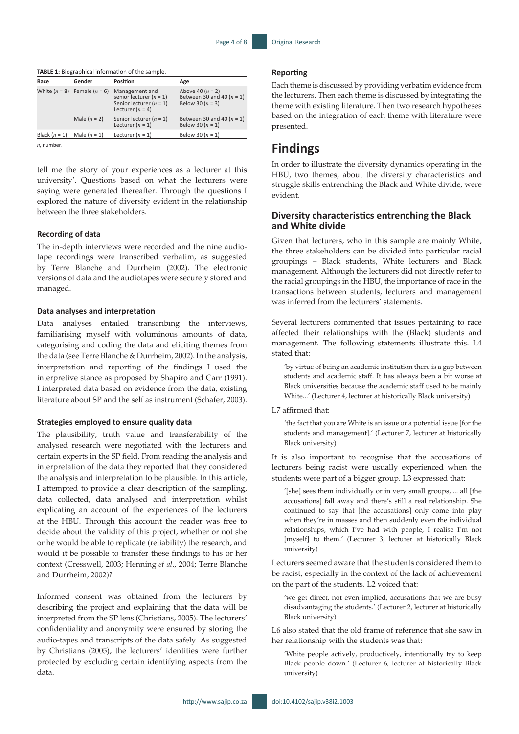| Race            | Gender                           | Position                                                                                         | Age                                                                     |
|-----------------|----------------------------------|--------------------------------------------------------------------------------------------------|-------------------------------------------------------------------------|
|                 | White $(n = 8)$ Female $(n = 6)$ | Management and<br>senior lecturer ( $n = 1$ )<br>Senior lecturer $(n = 1)$<br>Lecturer $(n = 4)$ | Above 40 $(n = 2)$<br>Between 30 and 40 $(n = 1)$<br>Below 30 $(n = 3)$ |
|                 | Male $(n = 2)$                   | Senior lecturer ( $n = 1$ )<br>Lecturer $(n = 1)$                                                | Between 30 and 40 $(n = 1)$<br>Below 30 $(n = 1)$                       |
| Black $(n = 1)$ | Male $(n = 1)$                   | Lecturer $(n = 1)$                                                                               | Below 30 $(n = 1)$                                                      |

*n*, number.

tell me the story of your experiences as a lecturer at this university'. Questions based on what the lecturers were saying were generated thereafter. Through the questions I explored the nature of diversity evident in the relationship between the three stakeholders.

#### **Recording of data**

The in-depth interviews were recorded and the nine audiotape recordings were transcribed verbatim, as suggested by Terre Blanche and Durrheim (2002). The electronic versions of data and the audiotapes were securely stored and managed.

#### **Data analyses and interpretation**

Data analyses entailed transcribing the interviews, familiarising myself with voluminous amounts of data, categorising and coding the data and eliciting themes from the data (see Terre Blanche & Durrheim, 2002). In the analysis, interpretation and reporting of the findings I used the interpretive stance as proposed by Shapiro and Carr (1991). I interpreted data based on evidence from the data, existing literature about SP and the self as instrument (Schafer, 2003).

#### **Strategies employed to ensure quality data**

The plausibility, truth value and transferability of the analysed research were negotiated with the lecturers and certain experts in the SP field. From reading the analysis and interpretation of the data they reported that they considered the analysis and interpretation to be plausible. In this article, I attempted to provide a clear description of the sampling, data collected, data analysed and interpretation whilst explicating an account of the experiences of the lecturers at the HBU. Through this account the reader was free to decide about the validity of this project, whether or not she or he would be able to replicate (reliability) the research, and would it be possible to transfer these findings to his or her context (Cresswell, 2003; Henning *et al*., 2004; Terre Blanche and Durrheim, 2002)?

Informed consent was obtained from the lecturers by describing the project and explaining that the data will be interpreted from the SP lens (Christians, 2005). The lecturers' confidentiality and anonymity were ensured by storing the audio-tapes and transcripts of the data safely. As suggested by Christians (2005), the lecturers' identities were further protected by excluding certain identifying aspects from the data.

Each theme is discussed by providing verbatim evidence from the lecturers. Then each theme is discussed by integrating the theme with existing literature. Then two research hypotheses based on the integration of each theme with literature were presented.

## **Findings**

In order to illustrate the diversity dynamics operating in the HBU, two themes, about the diversity characteristics and struggle skills entrenching the Black and White divide, were evident.

### **Diversity characteristics entrenching the Black and White divide**

Given that lecturers, who in this sample are mainly White, the three stakeholders can be divided into particular racial groupings – Black students, White lecturers and Black management. Although the lecturers did not directly refer to the racial groupings in the HBU, the importance of race in the transactions between students, lecturers and management was inferred from the lecturers' statements.

Several lecturers commented that issues pertaining to race affected their relationships with the (Black) students and management. The following statements illustrate this. L4 stated that:

'by virtue of being an academic institution there is a gap between students and academic staff. It has always been a bit worse at Black universities because the academic staff used to be mainly White...' (Lecturer 4, lecturer at historically Black university)

L7 affirmed that:

*'*the fact that you are White is an issue or a potential issue [for the students and management].' (Lecturer 7, lecturer at historically Black university)

It is also important to recognise that the accusations of lecturers being racist were usually experienced when the students were part of a bigger group. L3 expressed that:

'[she] sees them individually or in very small groups, ... all [the accusations] fall away and there's still a real relationship. She continued to say that [the accusations] only come into play when they're in masses and then suddenly even the individual relationships, which I've had with people, I realise I'm not [myself] to them.' (Lecturer 3, lecturer at historically Black university)

Lecturers seemed aware that the students considered them to be racist, especially in the context of the lack of achievement on the part of the students. L2 voiced that:

'we get direct, not even implied, accusations that we are busy disadvantaging the students.' (Lecturer 2, lecturer at historically Black university)

L6 also stated that the old frame of reference that she saw in her relationship with the students was that:

'White people actively, productively, intentionally try to keep Black people down.' (Lecturer 6, lecturer at historically Black university)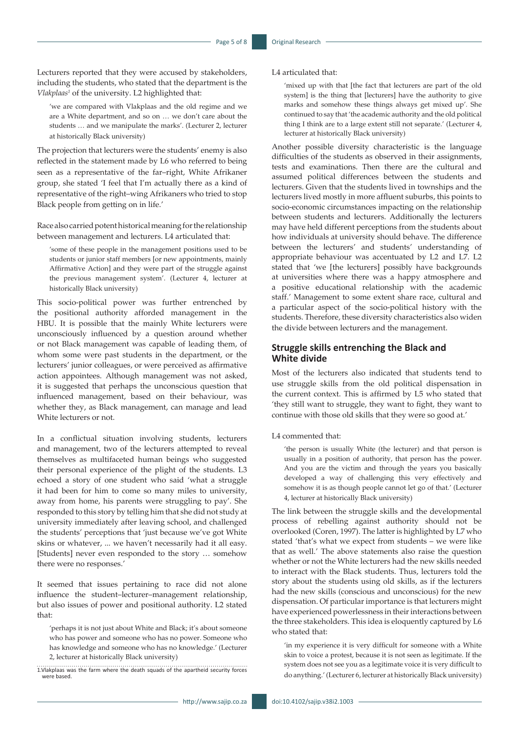Lecturers reported that they were accused by stakeholders, including the students, who stated that the department is the Vlakplaas<sup>1</sup> of the university. L2 highlighted that:

'we are compared with Vlakplaas and the old regime and we are a White department, and so on … we don't care about the students … and we manipulate the marks'. (Lecturer 2, lecturer at historically Black university)

The projection that lecturers were the students' enemy is also reflected in the statement made by L6 who referred to being seen as a representative of the far–right, White Afrikaner group, she stated 'I feel that I'm actually there as a kind of representative of the right–wing Afrikaners who tried to stop Black people from getting on in life.'

Race also carried potent historical meaning for the relationship between management and lecturers. L4 articulated that:

'some of these people in the management positions used to be students or junior staff members [or new appointments, mainly Affirmative Action] and they were part of the struggle against the previous management system'. (Lecturer 4, lecturer at historically Black university)

This socio-political power was further entrenched by the positional authority afforded management in the HBU. It is possible that the mainly White lecturers were unconsciously influenced by a question around whether or not Black management was capable of leading them, of whom some were past students in the department, or the lecturers' junior colleagues, or were perceived as affirmative action appointees. Although management was not asked, it is suggested that perhaps the unconscious question that influenced management, based on their behaviour, was whether they, as Black management, can manage and lead White lecturers or not.

In a conflictual situation involving students, lecturers and management, two of the lecturers attempted to reveal themselves as multifaceted human beings who suggested their personal experience of the plight of the students. L3 echoed a story of one student who said 'what a struggle it had been for him to come so many miles to university, away from home, his parents were struggling to pay'. She responded to this story by telling him that she did not study at university immediately after leaving school, and challenged the students' perceptions that 'just because we've got White skins or whatever, ... we haven't necessarily had it all easy. [Students] never even responded to the story … somehow there were no responses.'

It seemed that issues pertaining to race did not alone influence the student–lecturer–management relationship, but also issues of power and positional authority. L2 stated that:

'perhaps it is not just about White and Black; it's about someone who has power and someone who has no power. Someone who has knowledge and someone who has no knowledge.' (Lecturer 2, lecturer at historically Black university)

1.Vlakplaas was the farm where the death squads of the apartheid security forces were based.

### http://www.sajip.co.za doi:10.4102/sajip.v38i2.1003 -

L4 articulated that:

'mixed up with that [the fact that lecturers are part of the old system] is the thing that [lecturers] have the authority to give marks and somehow these things always get mixed up'*.* She continued to say that 'the academic authority and the old political thing I think are to a large extent still not separate.' (Lecturer 4, lecturer at historically Black university)

Another possible diversity characteristic is the language difficulties of the students as observed in their assignments, tests and examinations. Then there are the cultural and assumed political differences between the students and lecturers. Given that the students lived in townships and the lecturers lived mostly in more affluent suburbs, this points to socio-economic circumstances impacting on the relationship between students and lecturers. Additionally the lecturers may have held different perceptions from the students about how individuals at university should behave. The difference between the lecturers' and students' understanding of appropriate behaviour was accentuated by L2 and L7. L2 stated that 'we [the lecturers] possibly have backgrounds at universities where there was a happy atmosphere and a positive educational relationship with the academic staff.' Management to some extent share race, cultural and a particular aspect of the socio-political history with the students. Therefore, these diversity characteristics also widen the divide between lecturers and the management.

### **Struggle skills entrenching the Black and White divide**

Most of the lecturers also indicated that students tend to use struggle skills from the old political dispensation in the current context. This is affirmed by L5 who stated that 'they still want to struggle, they want to fight, they want to continue with those old skills that they were so good at.'

L4 commented that:

'the person is usually White (the lecturer) and that person is usually in a position of authority, that person has the power. And you are the victim and through the years you basically developed a way of challenging this very effectively and somehow it is as though people cannot let go of that.' (Lecturer 4, lecturer at historically Black university)

The link between the struggle skills and the developmental process of rebelling against authority should not be overlooked (Coren, 1997). The latter is highlighted by L7 who stated 'that's what we expect from students – we were like that as well.' The above statements also raise the question whether or not the White lecturers had the new skills needed to interact with the Black students. Thus, lecturers told the story about the students using old skills, as if the lecturers had the new skills (conscious and unconscious) for the new dispensation. Of particular importance is that lecturers might have experienced powerlessness in their interactions between the three stakeholders. This idea is eloquently captured by L6 who stated that:

'in my experience it is very difficult for someone with a White skin to voice a protest, because it is not seen as legitimate. If the system does not see you as a legitimate voice it is very difficult to do anything.' (Lecturer 6, lecturer at historically Black university)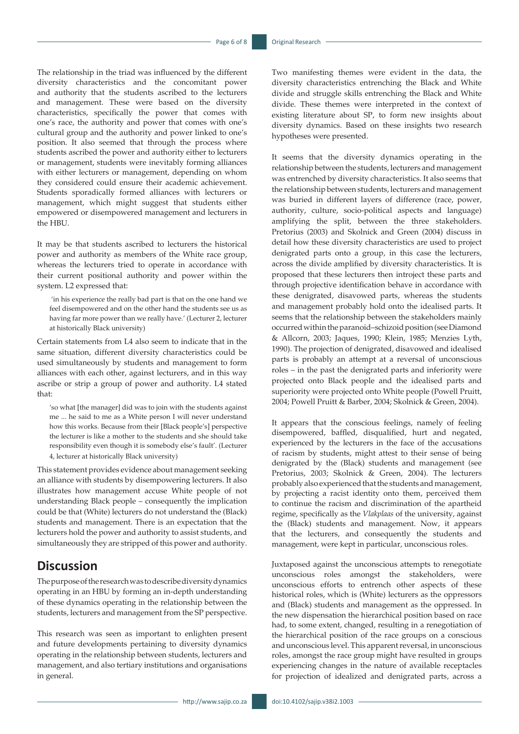The relationship in the triad was influenced by the different diversity characteristics and the concomitant power and authority that the students ascribed to the lecturers and management. These were based on the diversity characteristics, specifically the power that comes with one's race, the authority and power that comes with one's cultural group and the authority and power linked to one's position. It also seemed that through the process where students ascribed the power and authority either to lecturers or management, students were inevitably forming alliances with either lecturers or management, depending on whom they considered could ensure their academic achievement. Students sporadically formed alliances with lecturers or management, which might suggest that students either empowered or disempowered management and lecturers in the HBU.

It may be that students ascribed to lecturers the historical power and authority as members of the White race group, whereas the lecturers tried to operate in accordance with their current positional authority and power within the system. L2 expressed that:

 'in his experience the really bad part is that on the one hand we feel disempowered and on the other hand the students see us as having far more power than we really have.' (Lecturer 2, lecturer at historically Black university)

Certain statements from L4 also seem to indicate that in the same situation, different diversity characteristics could be used simultaneously by students and management to form alliances with each other, against lecturers, and in this way ascribe or strip a group of power and authority. L4 stated that:

'so what [the manager] did was to join with the students against me ... he said to me as a White person I will never understand how this works. Because from their [Black people's] perspective the lecturer is like a mother to the students and she should take responsibility even though it is somebody else's fault'. (Lecturer 4, lecturer at historically Black university)

This statement provides evidence about management seeking an alliance with students by disempowering lecturers. It also illustrates how management accuse White people of not understanding Black people – consequently the implication could be that (White) lecturers do not understand the (Black) students and management. There is an expectation that the lecturers hold the power and authority to assist students, and simultaneously they are stripped of this power and authority.

# **Discussion**

The purpose of the research was to describe diversity dynamics operating in an HBU by forming an in-depth understanding of these dynamics operating in the relationship between the students, lecturers and management from the SP perspective.

This research was seen as important to enlighten present and future developments pertaining to diversity dynamics operating in the relationship between students, lecturers and management, and also tertiary institutions and organisations in general.

Two manifesting themes were evident in the data, the diversity characteristics entrenching the Black and White divide and struggle skills entrenching the Black and White divide. These themes were interpreted in the context of existing literature about SP, to form new insights about diversity dynamics. Based on these insights two research hypotheses were presented.

It seems that the diversity dynamics operating in the relationship between the students, lecturers and management was entrenched by diversity characteristics. It also seems that the relationship between students, lecturers and management was buried in different layers of difference (race, power, authority, culture, socio-political aspects and language) amplifying the split, between the three stakeholders. Pretorius (2003) and Skolnick and Green (2004) discuss in detail how these diversity characteristics are used to project denigrated parts onto a group, in this case the lecturers, across the divide amplified by diversity characteristics. It is proposed that these lecturers then introject these parts and through projective identification behave in accordance with these denigrated, disavowed parts, whereas the students and management probably hold onto the idealised parts. It seems that the relationship between the stakeholders mainly occurred within the paranoid–schizoid position (see Diamond & Allcorn, 2003; Jaques, 1990; Klein, 1985; Menzies Lyth, 1990). The projection of denigrated, disavowed and idealised parts is probably an attempt at a reversal of unconscious roles – in the past the denigrated parts and inferiority were projected onto Black people and the idealised parts and superiority were projected onto White people (Powell Pruitt, 2004; Powell Pruitt & Barber, 2004; Skolnick & Green, 2004).

It appears that the conscious feelings, namely of feeling disempowered, baffled, disqualified, hurt and negated, experienced by the lecturers in the face of the accusations of racism by students, might attest to their sense of being denigrated by the (Black) students and management (see Pretorius, 2003; Skolnick & Green, 2004). The lecturers probably also experienced that the students and management, by projecting a racist identity onto them, perceived them to continue the racism and discrimination of the apartheid regime, specifically as the *Vlakplaas* of the university, against the (Black) students and management. Now, it appears that the lecturers, and consequently the students and management, were kept in particular, unconscious roles.

Juxtaposed against the unconscious attempts to renegotiate unconscious roles amongst the stakeholders, were unconscious efforts to entrench other aspects of these historical roles, which is (White) lecturers as the oppressors and (Black) students and management as the oppressed. In the new dispensation the hierarchical position based on race had, to some extent, changed, resulting in a renegotiation of the hierarchical position of the race groups on a conscious and unconscious level. This apparent reversal, in unconscious roles, amongst the race group might have resulted in groups experiencing changes in the nature of available receptacles for projection of idealized and denigrated parts, across a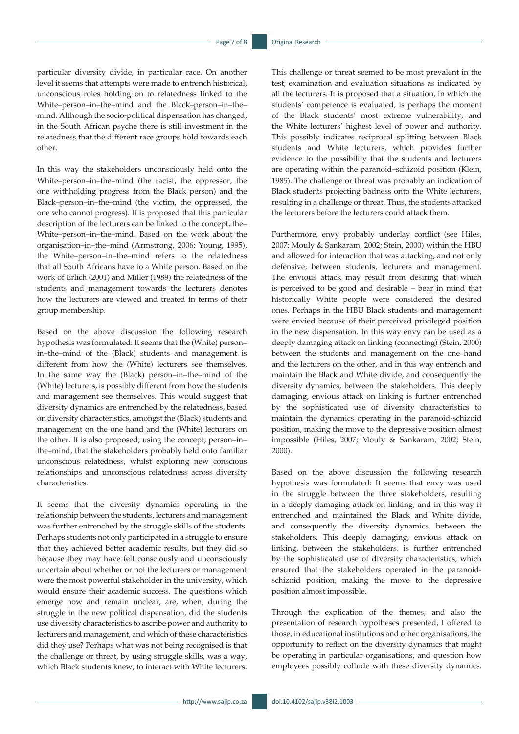particular diversity divide, in particular race. On another level it seems that attempts were made to entrench historical, unconscious roles holding on to relatedness linked to the White–person–in–the–mind and the Black–person–in–the– mind. Although the socio-political dispensation has changed, in the South African psyche there is still investment in the relatedness that the different race groups hold towards each other.

In this way the stakeholders unconsciously held onto the White–person–in–the–mind (the racist, the oppressor, the one withholding progress from the Black person) and the Black–person–in–the–mind (the victim, the oppressed, the one who cannot progress). It is proposed that this particular description of the lecturers can be linked to the concept, the– White–person–in–the–mind. Based on the work about the organisation–in–the–mind (Armstrong, 2006; Young, 1995), the White–person–in–the–mind refers to the relatedness that all South Africans have to a White person. Based on the work of Erlich (2001) and Miller (1989) the relatedness of the students and management towards the lecturers denotes how the lecturers are viewed and treated in terms of their group membership.

Based on the above discussion the following research hypothesis was formulated: It seems that the (White) person– in–the–mind of the (Black) students and management is different from how the (White) lecturers see themselves. In the same way the (Black) person–in–the–mind of the (White) lecturers, is possibly different from how the students and management see themselves. This would suggest that diversity dynamics are entrenched by the relatedness, based on diversity characteristics, amongst the (Black) students and management on the one hand and the (White) lecturers on the other. It is also proposed, using the concept, person–in– the–mind, that the stakeholders probably held onto familiar unconscious relatedness, whilst exploring new conscious relationships and unconscious relatedness across diversity characteristics.

It seems that the diversity dynamics operating in the relationship between the students, lecturers and management was further entrenched by the struggle skills of the students. Perhaps students not only participated in a struggle to ensure that they achieved better academic results, but they did so because they may have felt consciously and unconsciously uncertain about whether or not the lecturers or management were the most powerful stakeholder in the university, which would ensure their academic success. The questions which emerge now and remain unclear, are, when, during the struggle in the new political dispensation, did the students use diversity characteristics to ascribe power and authority to lecturers and management, and which of these characteristics did they use? Perhaps what was not being recognised is that the challenge or threat, by using struggle skills, was a way, which Black students knew, to interact with White lecturers.

This challenge or threat seemed to be most prevalent in the test, examination and evaluation situations as indicated by all the lecturers. It is proposed that a situation, in which the students' competence is evaluated, is perhaps the moment of the Black students' most extreme vulnerability, and the White lecturers' highest level of power and authority. This possibly indicates reciprocal splitting between Black students and White lecturers, which provides further evidence to the possibility that the students and lecturers are operating within the paranoid–schizoid position (Klein, 1985). The challenge or threat was probably an indication of Black students projecting badness onto the White lecturers, resulting in a challenge or threat. Thus, the students attacked the lecturers before the lecturers could attack them.

Furthermore, envy probably underlay conflict (see Hiles, 2007; Mouly & Sankaram, 2002; Stein, 2000) within the HBU and allowed for interaction that was attacking, and not only defensive, between students, lecturers and management. The envious attack may result from desiring that which is perceived to be good and desirable – bear in mind that historically White people were considered the desired ones. Perhaps in the HBU Black students and management were envied because of their perceived privileged position in the new dispensation. In this way envy can be used as a deeply damaging attack on linking (connecting) (Stein, 2000) between the students and management on the one hand and the lecturers on the other, and in this way entrench and maintain the Black and White divide, and consequently the diversity dynamics, between the stakeholders. This deeply damaging, envious attack on linking is further entrenched by the sophisticated use of diversity characteristics to maintain the dynamics operating in the paranoid-schizoid position, making the move to the depressive position almost impossible (Hiles, 2007; Mouly & Sankaram, 2002; Stein, 2000).

Based on the above discussion the following research hypothesis was formulated: It seems that envy was used in the struggle between the three stakeholders, resulting in a deeply damaging attack on linking, and in this way it entrenched and maintained the Black and White divide, and consequently the diversity dynamics, between the stakeholders. This deeply damaging, envious attack on linking, between the stakeholders, is further entrenched by the sophisticated use of diversity characteristics, which ensured that the stakeholders operated in the paranoidschizoid position, making the move to the depressive position almost impossible.

Through the explication of the themes, and also the presentation of research hypotheses presented, I offered to those, in educational institutions and other organisations, the opportunity to reflect on the diversity dynamics that might be operating in particular organisations, and question how employees possibly collude with these diversity dynamics.